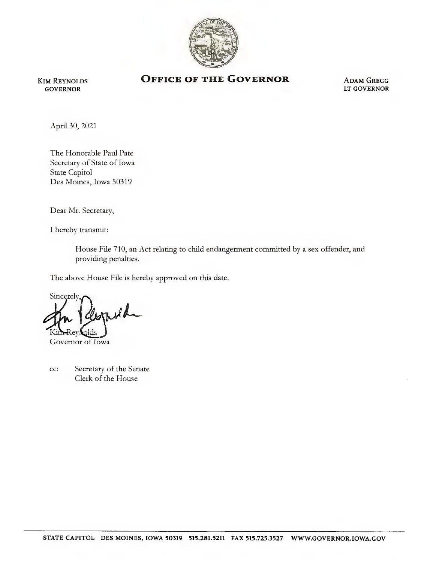

Kim Reynolds GOVERNOR

## OFFICE OF THE GOVERNOR ADAM GREGG

LT GOVERNOR

April 30, 2021

The Honorable Paul Pate Secretary of State of Iowa State Capitol Des Moines, Iowa 50319

Dear Mr. Secretary,

1 hereby transmit:

House File 710, an Act relating to child endangerment committed by a sex offender, and providing penalties.

The above House File is hereby approved on this date.

Sincerely, 'U teys olds

Governor of Iowa

cc: Secretary of the Senate Clerk of the House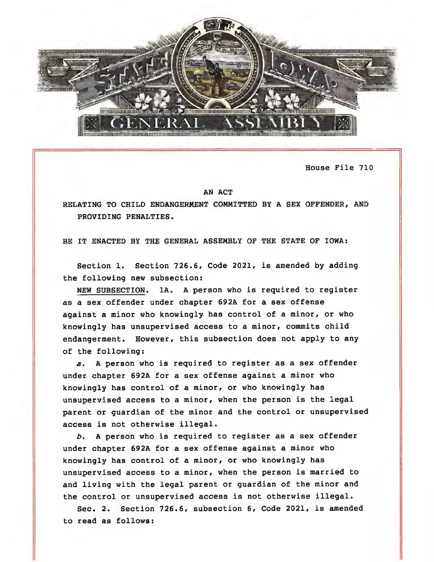

House File 710

## AN ACT

RELATING TO CHILD ENDANGERMENT COMMITTED BY A SEX OFFENDER, AND PROVIDING PENALTIES.

BE IT ENACTED BY THE GENERAL ASSEMBLY OF THE STATE OF IOWA:

Section 1. Section 726.6, Code 2021, is amended by adding the following new subsection:

NEW SUBSECTION. lA. A person who is required to register as a sex offender under chapter 692A for a sex offense against a minor who knowingly has control of a minor, or who knowingly has unsupervised access to a minor, commits child endangerment. However, this subsection does not apply to any of the following:

a. A person who is required to register as a sex offender under chapter 692A for a sex offense against a minor who knowingly has control of a minor, or who knowingly has unsupervised access to a minor, when the person is the legal parent or guardian of the minor and the control or unsupervised access is not otherwise illegal.

 $b.$  A person who is required to register as a sex offender under chapter 692A for a sex offense against a minor who knowingly has control of a minor, or who knowingly has unsupervised access to a minor, when the person is married to and living with the legal parent or guardian of the minor and the control or unsupervised access is not otherwise illegal.

Sec. 2. Section 726.6, subsection 6, Code 2021, is amended to read as follows: